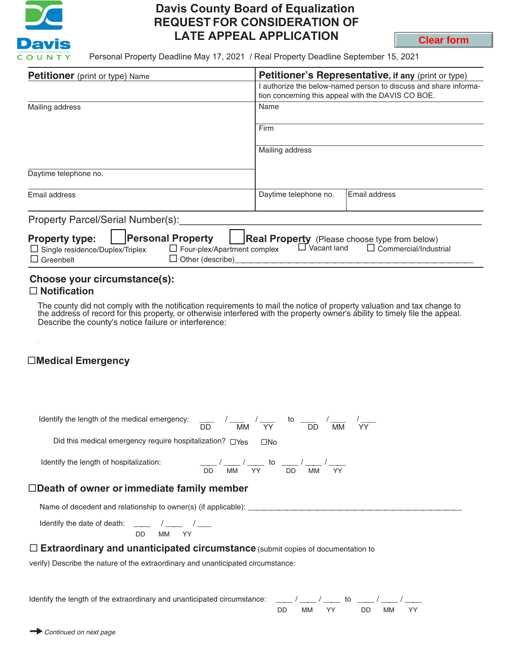

## **Davis County Board of Equalization REQUEST FOR CONSIDERATION OF LATE APPEAL APPLICATION**

**Clear form**

Personal Property Deadline May 17, 2021 / Real Property Deadline September 15, 2021

| <b>Petitioner</b> (print or type) Name                                                                                                                                                                                                                                                    |                       | <b>Petitioner's Representative, if any (print or type)</b>                                                           |  |  |  |
|-------------------------------------------------------------------------------------------------------------------------------------------------------------------------------------------------------------------------------------------------------------------------------------------|-----------------------|----------------------------------------------------------------------------------------------------------------------|--|--|--|
|                                                                                                                                                                                                                                                                                           |                       | authorize the below-named person to discuss and share informa-<br>tion concerning this appeal with the DAVIS CO BOE. |  |  |  |
| Mailing address                                                                                                                                                                                                                                                                           | Name                  |                                                                                                                      |  |  |  |
|                                                                                                                                                                                                                                                                                           | Firm                  |                                                                                                                      |  |  |  |
|                                                                                                                                                                                                                                                                                           | Mailing address       |                                                                                                                      |  |  |  |
| Daytime telephone no.                                                                                                                                                                                                                                                                     |                       |                                                                                                                      |  |  |  |
| Email address                                                                                                                                                                                                                                                                             | Daytime telephone no. | Email address                                                                                                        |  |  |  |
| Property Parcel/Serial Number(s):                                                                                                                                                                                                                                                         |                       |                                                                                                                      |  |  |  |
| <b>Personal Property</b><br><b>Property type:</b><br><b>Real Property</b> (Please choose type from below)<br>$\Box$ Vacant land<br>$\Box$ Commercial/Industrial<br>$\Box$ Four-plex/Apartment complex<br>$\Box$ Single residence/Duplex/Triplex<br>Other (describe)<br>$\sqcup$ Greenbelt |                       |                                                                                                                      |  |  |  |

## **Choose your circumstance(s): Notification**

The county did not comply with the notification requirements to mail the notice of property valuation and tax change to the address of record for this property, or otherwise interfered with the property owner's ability to timely file the appeal. Describe the county's notice failure or interference:

## **Medical Emergency**

| Identify the length of the medical emergency:                  | $\therefore$ to $\frac{1}{\sqrt{1-\frac{1}{n}}}\rightarrow$<br>MM<br><b>VY</b><br>MM<br>DD.                    |  |  |  |
|----------------------------------------------------------------|----------------------------------------------------------------------------------------------------------------|--|--|--|
| Did this medical emergency require hospitalization? $\Box$ Yes | $\square$ No                                                                                                   |  |  |  |
| Identify the length of hospitalization:                        | $\frac{1}{\sqrt{1-\frac{1}{2}}}$ to $\frac{1}{\sqrt{1-\frac{1}{2}}}$<br>MM YY<br>DD.<br><b>DD</b><br>YY.<br>MM |  |  |  |
| $\square$ Death of owner or immediate family member            |                                                                                                                |  |  |  |
| Name of decedent and relationship to owner(s) (if applicable): |                                                                                                                |  |  |  |
| DD<br>MМ                                                       |                                                                                                                |  |  |  |

**Extraordinary and unanticipated circumstance** (submit copies of documentation to

verify) Describe the nature of the extraordinary and unanticipated circumstance:

Identify the length of the extraordinary and unanticipated circumstance:

| חח | A N A | YY | חח | <b>MAA</b> | ΥY |
|----|-------|----|----|------------|----|

*Continued on next page*